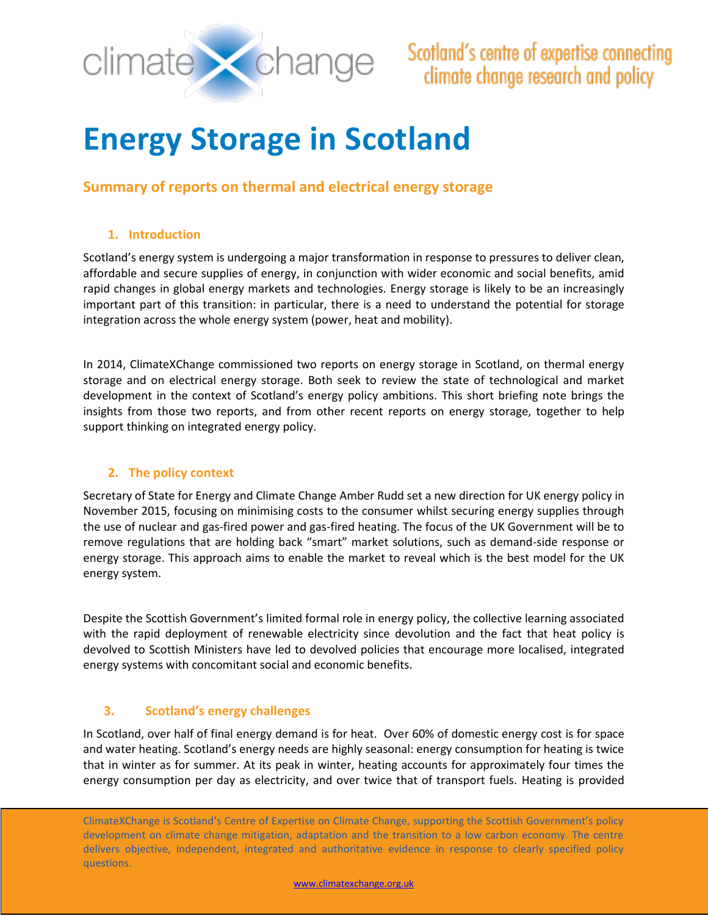

# **Energy Storage in Scotland**

## **Summary of reports on thermal and electrical energy storage**

## **1. Introduction**

Scotland's energy system is undergoing a major transformation in response to pressures to deliver clean, affordable and secure supplies of energy, in conjunction with wider economic and social benefits, amid rapid changes in global energy markets and technologies. Energy storage is likely to be an increasingly important part of this transition: in particular, there is a need to understand the potential for storage integration across the whole energy system (power, heat and mobility).

In 2014, ClimateXChange commissioned two reports on energy storage in Scotland, on thermal energy storage and on electrical energy storage. Both seek to review the state of technological and market development in the context of Scotland's energy policy ambitions. This short briefing note brings the insights from those two reports, and from other recent reports on energy storage, together to help support thinking on integrated energy policy.

## **2. The policy context**

Secretary of State for Energy and Climate Change Amber Rudd set a new direction for UK energy policy in November 2015, focusing on minimising costs to the consumer whilst securing energy supplies through the use of nuclear and gas-fired power and gas-fired heating. The focus of the UK Government will be to remove regulations that are holding back "smart" market solutions, such as demand-side response or energy storage. This approach aims to enable the market to reveal which is the best model for the UK energy system.

Despite the Scottish Government's limited formal role in energy policy, the collective learning associated with the rapid deployment of renewable electricity since devolution and the fact that heat policy is devolved to Scottish Ministers have led to devolved policies that encourage more localised, integrated energy systems with concomitant social and economic benefits.

## **3. Scotland's energy challenges**

In Scotland, over half of final energy demand is for heat. Over 60% of domestic energy cost is for space and water heating. Scotland's energy needs are highly seasonal: energy consumption for heating is twice that in winter as for summer. At its peak in winter, heating accounts for approximately four times the energy consumption per day as electricity, and over twice that of transport fuels. Heating is provided

ClimateXChange is Scotland's Centre of Expertise on Climate Change, supporting the Scottish Government's policy development on climate change mitigation, adaptation and the transition to a low carbon economy. The centre delivers objective, independent, integrated and authoritative evidence in response to clearly specified policy questions.

[www.climatexchange.org.uk](file://///SNIFFER-DC01/Users/annemarte/CXC/www.climatexchange.org.uk)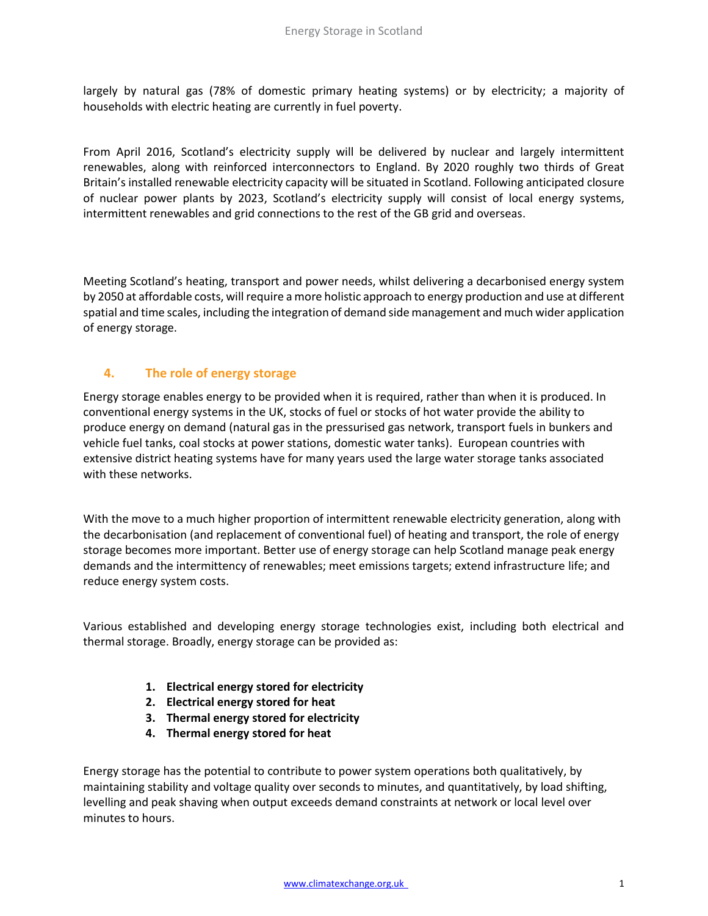largely by natural gas (78% of domestic primary heating systems) or by electricity; a majority of households with electric heating are currently in fuel poverty.

From April 2016, Scotland's electricity supply will be delivered by nuclear and largely intermittent renewables, along with reinforced interconnectors to England. By 2020 roughly two thirds of Great Britain's installed renewable electricity capacity will be situated in Scotland. Following anticipated closure of nuclear power plants by 2023, Scotland's electricity supply will consist of local energy systems, intermittent renewables and grid connections to the rest of the GB grid and overseas.

Meeting Scotland's heating, transport and power needs, whilst delivering a decarbonised energy system by 2050 at affordable costs, willrequire a more holistic approach to energy production and use at different spatial and time scales, including the integration of demand side management and much wider application of energy storage.

## **4. The role of energy storage**

Energy storage enables energy to be provided when it is required, rather than when it is produced. In conventional energy systems in the UK, stocks of fuel or stocks of hot water provide the ability to produce energy on demand (natural gas in the pressurised gas network, transport fuels in bunkers and vehicle fuel tanks, coal stocks at power stations, domestic water tanks). European countries with extensive district heating systems have for many years used the large water storage tanks associated with these networks.

With the move to a much higher proportion of intermittent renewable electricity generation, along with the decarbonisation (and replacement of conventional fuel) of heating and transport, the role of energy storage becomes more important. Better use of energy storage can help Scotland manage peak energy demands and the intermittency of renewables; meet emissions targets; extend infrastructure life; and reduce energy system costs.

Various established and developing energy storage technologies exist, including both electrical and thermal storage. Broadly, energy storage can be provided as:

- **1. Electrical energy stored for electricity**
- **2. Electrical energy stored for heat**
- **3. Thermal energy stored for electricity**
- **4. Thermal energy stored for heat**

Energy storage has the potential to contribute to power system operations both qualitatively, by maintaining stability and voltage quality over seconds to minutes, and quantitatively, by load shifting, levelling and peak shaving when output exceeds demand constraints at network or local level over minutes to hours.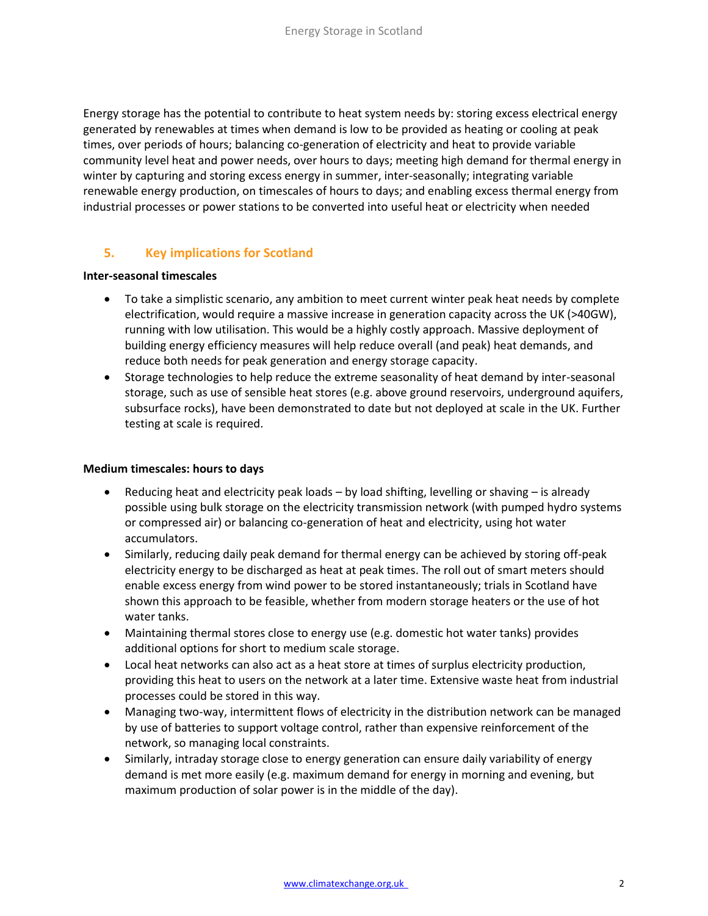Energy storage has the potential to contribute to heat system needs by: storing excess electrical energy generated by renewables at times when demand is low to be provided as heating or cooling at peak times, over periods of hours; balancing co-generation of electricity and heat to provide variable community level heat and power needs, over hours to days; meeting high demand for thermal energy in winter by capturing and storing excess energy in summer, inter-seasonally; integrating variable renewable energy production, on timescales of hours to days; and enabling excess thermal energy from industrial processes or power stations to be converted into useful heat or electricity when needed

## **5. Key implications for Scotland**

#### **Inter-seasonal timescales**

- To take a simplistic scenario, any ambition to meet current winter peak heat needs by complete electrification, would require a massive increase in generation capacity across the UK (>40GW), running with low utilisation. This would be a highly costly approach. Massive deployment of building energy efficiency measures will help reduce overall (and peak) heat demands, and reduce both needs for peak generation and energy storage capacity.
- Storage technologies to help reduce the extreme seasonality of heat demand by inter-seasonal storage, such as use of sensible heat stores (e.g. above ground reservoirs, underground aquifers, subsurface rocks), have been demonstrated to date but not deployed at scale in the UK. Further testing at scale is required.

### **Medium timescales: hours to days**

- Reducing heat and electricity peak loads by load shifting, levelling or shaving is already possible using bulk storage on the electricity transmission network (with pumped hydro systems or compressed air) or balancing co-generation of heat and electricity, using hot water accumulators.
- Similarly, reducing daily peak demand for thermal energy can be achieved by storing off-peak electricity energy to be discharged as heat at peak times. The roll out of smart meters should enable excess energy from wind power to be stored instantaneously; trials in Scotland have shown this approach to be feasible, whether from modern storage heaters or the use of hot water tanks.
- Maintaining thermal stores close to energy use (e.g. domestic hot water tanks) provides additional options for short to medium scale storage.
- Local heat networks can also act as a heat store at times of surplus electricity production, providing this heat to users on the network at a later time. Extensive waste heat from industrial processes could be stored in this way.
- Managing two-way, intermittent flows of electricity in the distribution network can be managed by use of batteries to support voltage control, rather than expensive reinforcement of the network, so managing local constraints.
- Similarly, intraday storage close to energy generation can ensure daily variability of energy demand is met more easily (e.g. maximum demand for energy in morning and evening, but maximum production of solar power is in the middle of the day).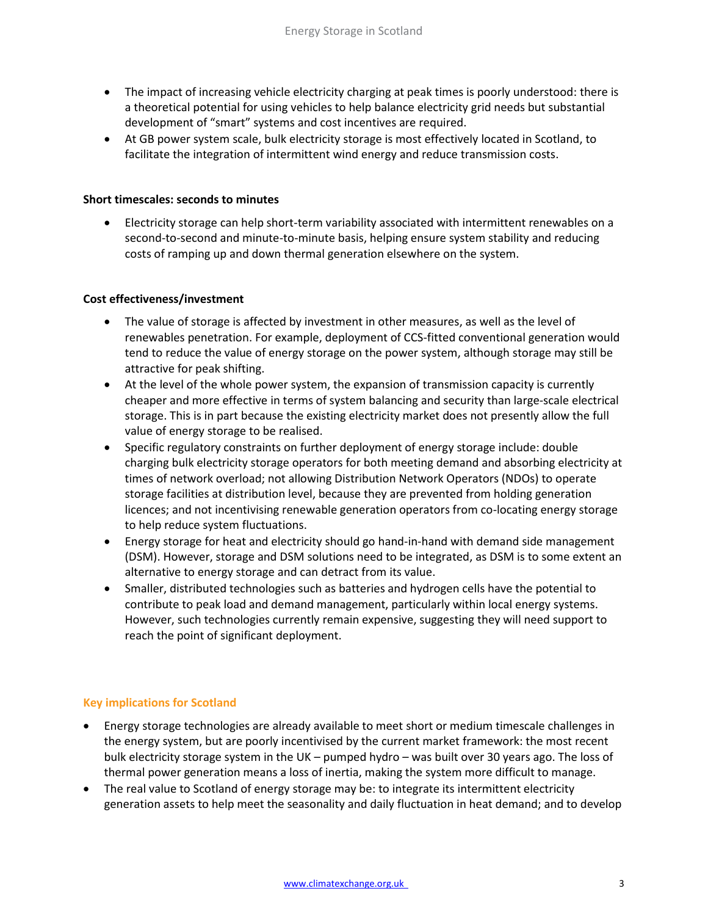- The impact of increasing vehicle electricity charging at peak times is poorly understood: there is a theoretical potential for using vehicles to help balance electricity grid needs but substantial development of "smart" systems and cost incentives are required.
- At GB power system scale, bulk electricity storage is most effectively located in Scotland, to facilitate the integration of intermittent wind energy and reduce transmission costs.

### **Short timescales: seconds to minutes**

 Electricity storage can help short-term variability associated with intermittent renewables on a second-to-second and minute-to-minute basis, helping ensure system stability and reducing costs of ramping up and down thermal generation elsewhere on the system.

#### **Cost effectiveness/investment**

- The value of storage is affected by investment in other measures, as well as the level of renewables penetration. For example, deployment of CCS-fitted conventional generation would tend to reduce the value of energy storage on the power system, although storage may still be attractive for peak shifting.
- At the level of the whole power system, the expansion of transmission capacity is currently cheaper and more effective in terms of system balancing and security than large-scale electrical storage. This is in part because the existing electricity market does not presently allow the full value of energy storage to be realised.
- Specific regulatory constraints on further deployment of energy storage include: double charging bulk electricity storage operators for both meeting demand and absorbing electricity at times of network overload; not allowing Distribution Network Operators (NDOs) to operate storage facilities at distribution level, because they are prevented from holding generation licences; and not incentivising renewable generation operators from co-locating energy storage to help reduce system fluctuations.
- Energy storage for heat and electricity should go hand-in-hand with demand side management (DSM). However, storage and DSM solutions need to be integrated, as DSM is to some extent an alternative to energy storage and can detract from its value.
- Smaller, distributed technologies such as batteries and hydrogen cells have the potential to contribute to peak load and demand management, particularly within local energy systems. However, such technologies currently remain expensive, suggesting they will need support to reach the point of significant deployment.

### **Key implications for Scotland**

- Energy storage technologies are already available to meet short or medium timescale challenges in the energy system, but are poorly incentivised by the current market framework: the most recent bulk electricity storage system in the UK – pumped hydro – was built over 30 years ago. The loss of thermal power generation means a loss of inertia, making the system more difficult to manage.
- The real value to Scotland of energy storage may be: to integrate its intermittent electricity generation assets to help meet the seasonality and daily fluctuation in heat demand; and to develop